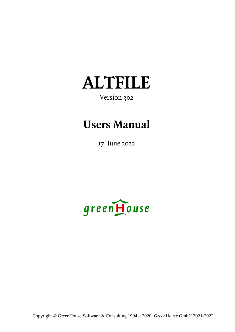

## Version 302

# **Users Manual**

17. June 2022

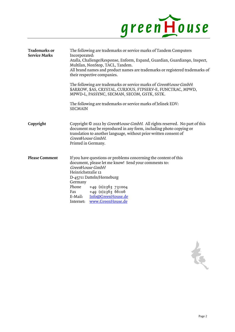

| <b>Trademarks or</b><br><b>Service Marks</b> | The following are trademarks or service marks of Tandem Computers<br>Incorporated:<br>Atalla, Challenge/Response, Enform, Expand, Guardian, Guardiango, Inspect,<br>Multilan, NonStop, TACL, Tandem.<br>All brand names and product names are trademarks or registered trademarks of<br>their respective companies.               |  |  |
|----------------------------------------------|-----------------------------------------------------------------------------------------------------------------------------------------------------------------------------------------------------------------------------------------------------------------------------------------------------------------------------------|--|--|
|                                              | The following are trademarks or service marks of GreenHouse GmbH:<br>\$ARROW, \$AS, CRYSTAL, CURIOUS, FTPSERV-E, FUNCTRAC, MPWD,<br>MPWD-L, PASSYNC, SECMAN, SECOM, GSTK, SSTK.                                                                                                                                                   |  |  |
|                                              | The following are trademarks or service marks of Jelinek EDV:<br><b>SECMAIN</b>                                                                                                                                                                                                                                                   |  |  |
| Copyright                                    | Copyright © 2022 by <i>GreenHouse GmbH</i> . All rights reserved. No part of this<br>document may be reproduced in any form, including photo copying or<br>translation to another language, without prior written consent of<br>GreenHouse GmbH.<br>Printed in Germany.                                                           |  |  |
| <b>Please Comment</b>                        | If you have questions or problems concerning the content of this<br>document, please let me know! Send your comments to:<br>GreenHouse GmbH<br>Heinrichstraße 12<br>D-45711 Datteln/Horneburg<br>Germany<br>Phone<br>$+49$ (0)2363 731004<br>Fax $+49$ (0)2363 66106<br>E-Mail: Info@GreenHouse.de<br>Internet: www.GreenHouse.de |  |  |

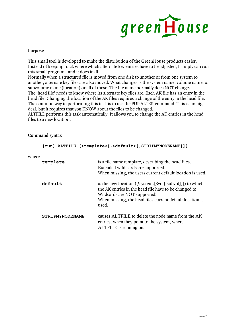

#### **Purpose**

This small tool is developed to make the distribution of the GreenHouse products easier. Instead of keeping track where which alternate key entries have to be adjusted, I simply can run this small program - and it does it all.

Normally when a structured file is moved from one disk to another or from one system to another, alternate key files are also moved. What changes is the system name, volume name, or subvolume name (location) or all of these. The file name normally does NOT change. The 'head file' needs to know where its alternate key files are. Each AK file has an entry in the head file. Changing the location of the AK files requires a change of the entry in the head file. The common way in performing this task is to use the FUP ALTER command. This is no big deal, but it requires that you KNOW about the files to be changed.

ALTFILE performs this task automatically: It allows you to change the AK entries in the head files to a new location.

#### **Command syntax**

**[run] ALTFILE [<template>[,<default>[,STRIPMYNODENAME]]]**

| where |                        |                                                                                                                                                                                                                          |
|-------|------------------------|--------------------------------------------------------------------------------------------------------------------------------------------------------------------------------------------------------------------------|
|       | template               | is a file name template, describing the head files.<br>Extended wild cards are supported.<br>When missing, the users current default location is used.                                                                   |
|       | default                | is the new location ([\system.[\$vol[.subvol]]]) to which<br>the AK entries in the head file have to be changed to.<br>Wildcards are NOT supported!<br>When missing, the head files current default location is<br>used. |
|       | <b>STRIPMYNODENAME</b> | causes ALTFILE to delete the node name from the AK<br>entries, when they point to the system, where<br>ALTFILE is running on.                                                                                            |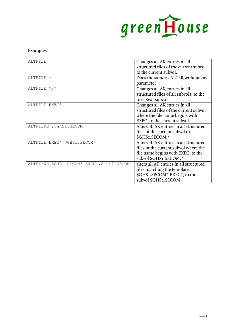

### **Examples**

| ALTETLE                                    | Changes all AK entries in all<br>structured files of the current subvol<br>to the current subvol.                                               |
|--------------------------------------------|-------------------------------------------------------------------------------------------------------------------------------------------------|
| ALTFILE *                                  | Does the same as ALTER without any<br>parameter                                                                                                 |
| ALTFILE *.*                                | Changes all AK entries in all<br>structured files of all subvols, to the<br>files \$vol.subvol.                                                 |
| ALTFILE EXEC*                              | Changes all AK entries in all<br>structured files of the current subvol<br>where the file name begins with<br>EXEC, to the current subvol.      |
| ALTFILKE , \$GHS1. SECOM                   | Alters all AK entries in all structured<br>files of the current subvol to<br>\$GHSI.SECOM.*                                                     |
| ALTFILE EXEC*, \$GHS1. SECOM               | Alters all AK entries in all structured<br>files of the current subvol where the<br>file name begins with EXEC, to the<br>subvol \$GHS1.SECOM.* |
| ALTFILKE \$GHS1.SECOM*.EXEC*, \$GHS2.SECOM | alters all AK entries in all structured<br>files matching the template<br>\$GHSI.SECOM*.EXEC*, to the<br>subvol \$GHS2.SECOM                    |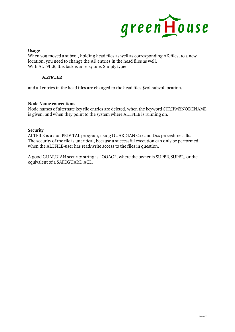

**Usage**

When you moved a subvol, holding head files as well as corresponding AK files, to a new location, you need to change the AK entries in the head files as well. With ALTFILE, this task is an easy one. Simply type:

#### **ALTFILE**

and all entries in the head files are changed to the head files \$vol.subvol location.

#### **Node Name conventions**

Node names of alternate key file entries are deleted, when the keyword STRIPMYNODENAME is given, and when they point to the system where ALTFILE is running on.

#### **Security**

ALTFILE is a non PRIV TAL program, using GUARDIAN Cxx and Dxx procedure calls. The security of the file is uncritical, because a successful execution can only be performed when the ALTFILE-user has read/write access to the files in question.

A good GUARDIAN security string is "OOAO", where the owner is SUPER.SUPER, or the equivalent of a SAFEGUARD ACL.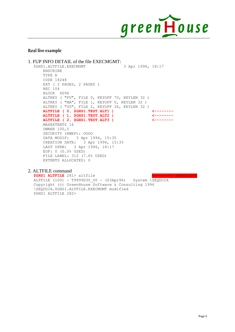

#### **Real live example**

```
1. FUP INFO DETAIL of the file EXECMGMT:
$GHS1.ALTFILE.EXECMGMT 3 Apr 1996, 18:17
    ENSCRIBE
     TYPE R
    CODE 18248
   EXT ( 2 PAGES, 2 PAGES )
    REC 104
    BLOCK 4096
    ALTKEY ( "FU", FILE 0, KEYOFF 70, KEYLEN 32 )
    ALTKEY ( "MA", FILE 1, KEYOFF 0, KEYLEN 32 )
    ALTKEY ( "US", FILE 2, KEYOFF 36, KEYLEN 32 )
    ALTFILE ( 0, $GHS1.TEST.ALT1 ) <--------
    ALTFILE ( 1, $GHS1.TEST.ALT2 ) <--------
   ALTFILE ( 2, $GHS1.TEST.ALT3 )
    MAXEXTENTS 16
    OWNER 100,5
    SECURITY (RWEP): OOOO
    DATA MODIF: 3 Apr 1996, 15:35
    CREATION DATE: 3 Apr 1996, 15:35
    LAST OPEN: 3 Apr 1996, 18:17
    EOF: 0 (0.0% USED)
    FILE LABEL: 312 (7.6% USED)
    EXTENTS ALLOCATED: 0
```
#### 2. ALTFILE command

**\$GHS1 ALTFILE** 281> altfile <-------- (default) .<br>ALTFILE (100) - T9999D30 00 - (03Apr96) System \SEQUOIA Copyright (c) GreenHouse Software & Consulting 1996 \SEQUOIA.\$GHS1.ALTFILE.EXECMGMT modified \$GHS1 ALTFILE 282>